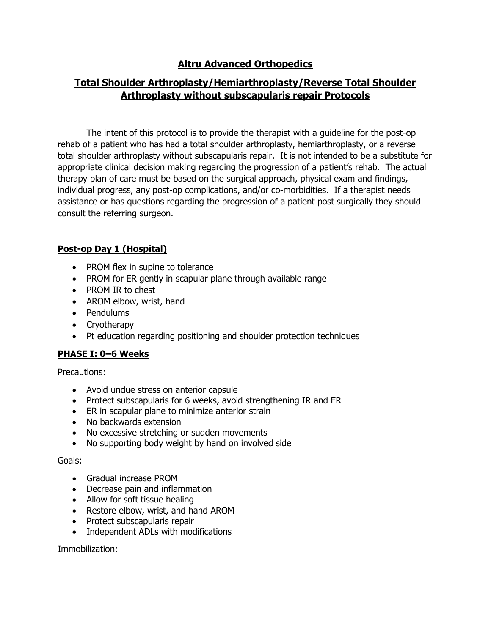# **Altru Advanced Orthopedics**

# **Total Shoulder Arthroplasty/Hemiarthroplasty/Reverse Total Shoulder Arthroplasty without subscapularis repair Protocols**

The intent of this protocol is to provide the therapist with a guideline for the post-op rehab of a patient who has had a total shoulder arthroplasty, hemiarthroplasty, or a reverse total shoulder arthroplasty without subscapularis repair. It is not intended to be a substitute for appropriate clinical decision making regarding the progression of a patient's rehab. The actual therapy plan of care must be based on the surgical approach, physical exam and findings, individual progress, any post-op complications, and/or co-morbidities. If a therapist needs assistance or has questions regarding the progression of a patient post surgically they should consult the referring surgeon.

# **Post-op Day 1 (Hospital)**

- PROM flex in supine to tolerance
- PROM for ER gently in scapular plane through available range
- PROM IR to chest
- AROM elbow, wrist, hand
- Pendulums
- Cryotherapy
- Pt education regarding positioning and shoulder protection techniques

# **PHASE I: 0–6 Weeks**

Precautions:

- Avoid undue stress on anterior capsule
- Protect subscapularis for 6 weeks, avoid strengthening IR and ER
- ER in scapular plane to minimize anterior strain
- No backwards extension
- No excessive stretching or sudden movements
- No supporting body weight by hand on involved side

# Goals:

- Gradual increase PROM
- Decrease pain and inflammation
- Allow for soft tissue healing
- Restore elbow, wrist, and hand AROM
- Protect subscapularis repair
- Independent ADLs with modifications

Immobilization: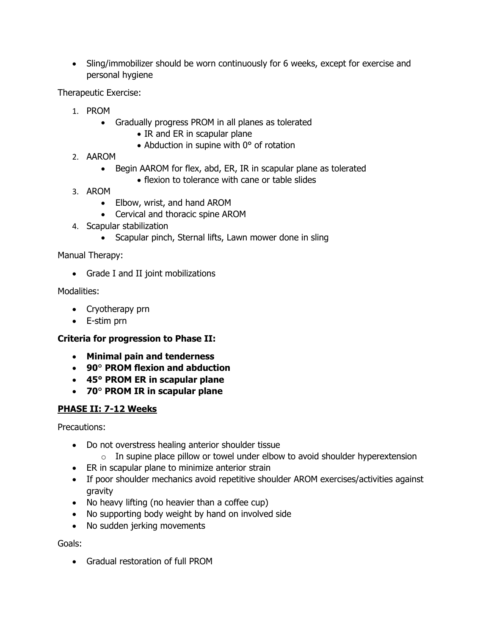• Sling/immobilizer should be worn continuously for 6 weeks, except for exercise and personal hygiene

Therapeutic Exercise:

- 1. PROM
	- Gradually progress PROM in all planes as tolerated
		- IR and ER in scapular plane
		- Abduction in supine with 0° of rotation
- 2. AAROM
	- Begin AAROM for flex, abd, ER, IR in scapular plane as tolerated
		- flexion to tolerance with cane or table slides
- 3. AROM
	- Elbow, wrist, and hand AROM
	- Cervical and thoracic spine AROM
- 4. Scapular stabilization
	- Scapular pinch, Sternal lifts, Lawn mower done in sling

Manual Therapy:

• Grade I and II joint mobilizations

Modalities:

- Cryotherapy prn
- E-stim prn

# **Criteria for progression to Phase II:**

- **Minimal pain and tenderness**
- **90**° **PROM flexion and abduction**
- **45° PROM ER in scapular plane**
- **70**° **PROM IR in scapular plane**

# **PHASE II: 7-12 Weeks**

Precautions:

- Do not overstress healing anterior shoulder tissue
	- $\circ$  In supine place pillow or towel under elbow to avoid shoulder hyperextension
- ER in scapular plane to minimize anterior strain
- If poor shoulder mechanics avoid repetitive shoulder AROM exercises/activities against gravity
- No heavy lifting (no heavier than a coffee cup)
- No supporting body weight by hand on involved side
- No sudden jerking movements

Goals:

• Gradual restoration of full PROM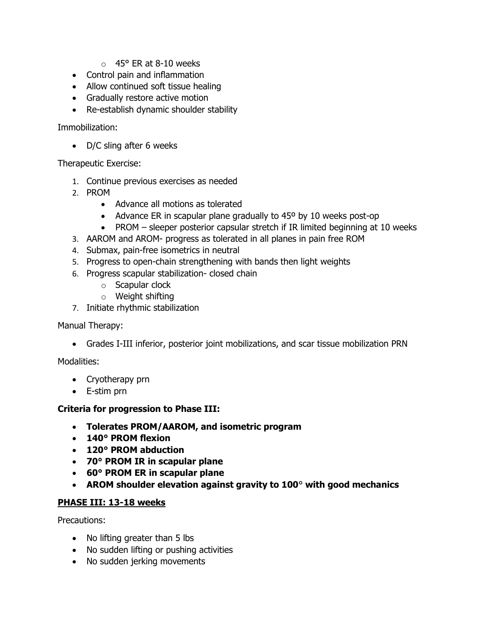- $\circ$  45° ER at 8-10 weeks
- Control pain and inflammation
- Allow continued soft tissue healing
- Gradually restore active motion
- Re-establish dynamic shoulder stability

Immobilization:

• D/C sling after 6 weeks

Therapeutic Exercise:

- 1. Continue previous exercises as needed
- 2. PROM
	- Advance all motions as tolerated
	- Advance ER in scapular plane gradually to 45° by 10 weeks post-op
	- PROM sleeper posterior capsular stretch if IR limited beginning at 10 weeks
- 3. AAROM and AROM- progress as tolerated in all planes in pain free ROM
- 4. Submax, pain-free isometrics in neutral
- 5. Progress to open-chain strengthening with bands then light weights
- 6. Progress scapular stabilization- closed chain
	- o Scapular clock
	- o Weight shifting
- 7. Initiate rhythmic stabilization

Manual Therapy:

• Grades I-III inferior, posterior joint mobilizations, and scar tissue mobilization PRN

Modalities:

- Cryotherapy prn
- E-stim prn

#### **Criteria for progression to Phase III:**

- **Tolerates PROM/AAROM, and isometric program**
- **140° PROM flexion**
- **120° PROM abduction**
- **70° PROM IR in scapular plane**
- **60° PROM ER in scapular plane**
- **AROM shoulder elevation against gravity to 100**° **with good mechanics**

#### **PHASE III: 13-18 weeks**

Precautions:

- No lifting greater than 5 lbs
- No sudden lifting or pushing activities
- No sudden jerking movements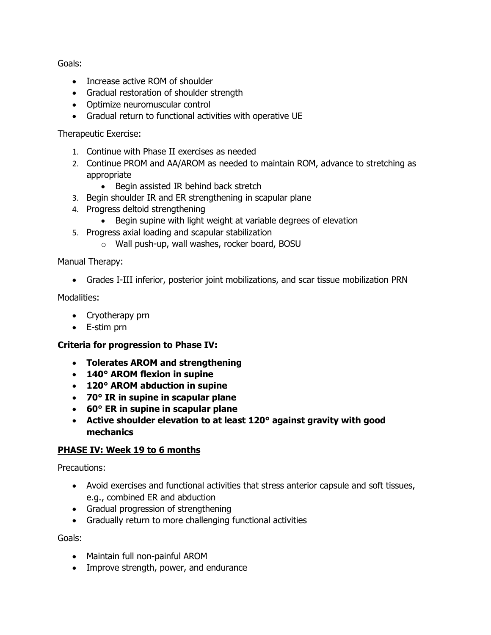Goals:

- Increase active ROM of shoulder
- Gradual restoration of shoulder strength
- Optimize neuromuscular control
- Gradual return to functional activities with operative UE

### Therapeutic Exercise:

- 1. Continue with Phase II exercises as needed
- 2. Continue PROM and AA/AROM as needed to maintain ROM, advance to stretching as appropriate
	- Begin assisted IR behind back stretch
- 3. Begin shoulder IR and ER strengthening in scapular plane
- 4. Progress deltoid strengthening
	- Begin supine with light weight at variable degrees of elevation
- 5. Progress axial loading and scapular stabilization
	- o Wall push-up, wall washes, rocker board, BOSU

### Manual Therapy:

• Grades I-III inferior, posterior joint mobilizations, and scar tissue mobilization PRN

### Modalities:

- Cryotherapy prn
- E-stim prn

# **Criteria for progression to Phase IV:**

- **Tolerates AROM and strengthening**
- **140° AROM flexion in supine**
- **120° AROM abduction in supine**
- **70° IR in supine in scapular plane**
- **60° ER in supine in scapular plane**
- **Active shoulder elevation to at least 120° against gravity with good mechanics**

# **PHASE IV: Week 19 to 6 months**

Precautions:

- Avoid exercises and functional activities that stress anterior capsule and soft tissues, e.g., combined ER and abduction
- Gradual progression of strengthening
- Gradually return to more challenging functional activities

Goals:

- Maintain full non-painful AROM
- Improve strength, power, and endurance